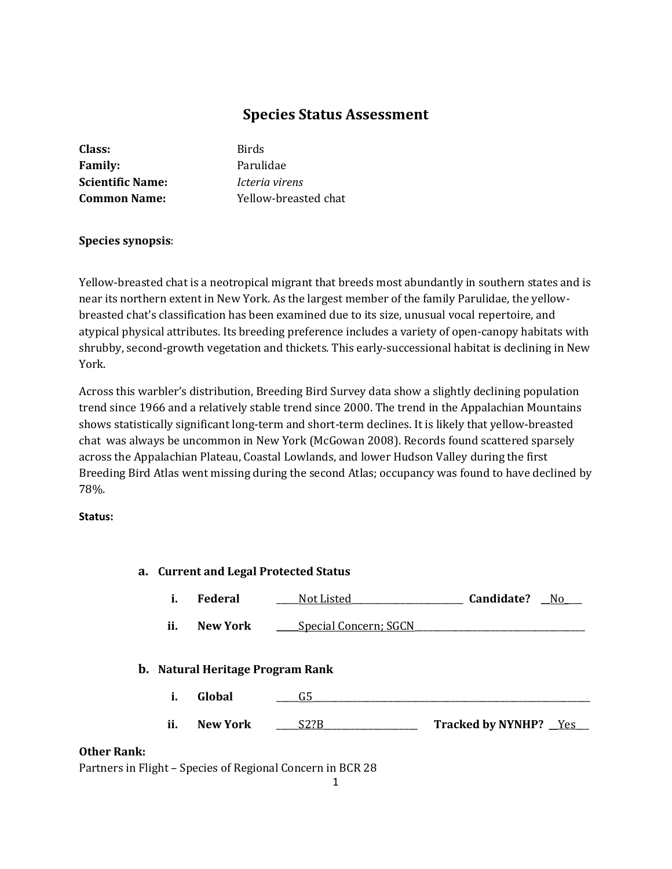# **Species Status Assessment**

| Birds  |
|--------|
|        |
| Parul  |
| Icteri |
| Yello  |
|        |

**Family:** Parulidae **Scientific Name:** *Icteria virens* **Common Name:** Yellow-breasted chat

# **Species synopsis**:

Yellow-breasted chat is a neotropical migrant that breeds most abundantly in southern states and is near its northern extent in New York. As the largest member of the family Parulidae, the yellowbreasted chat's classification has been examined due to its size, unusual vocal repertoire, and atypical physical attributes. Its breeding preference includes a variety of open-canopy habitats with shrubby, second-growth vegetation and thickets. This early-successional habitat is declining in New York.

Across this warbler's distribution, Breeding Bird Survey data show a slightly declining population trend since 1966 and a relatively stable trend since 2000. The trend in the Appalachian Mountains shows statistically significant long-term and short-term declines. It is likely that yellow-breasted chat was always be uncommon in New York (McGowan 2008). Records found scattered sparsely across the Appalachian Plateau, Coastal Lowlands, and lower Hudson Valley during the first Breeding Bird Atlas went missing during the second Atlas; occupancy was found to have declined by 78%.

#### **Status:**

| a. Current and Legal Protected Status |     |                 |                                         |                              |
|---------------------------------------|-----|-----------------|-----------------------------------------|------------------------------|
|                                       | i.  | Federal         | <b>Not Listed</b>                       | Candidate?<br>No.            |
|                                       | ii. | <b>New York</b> | <b>Special Concern; SGCN</b>            |                              |
|                                       |     |                 | <b>b.</b> Natural Heritage Program Rank |                              |
|                                       | i.  | Global          | G5                                      |                              |
|                                       | ii. | <b>New York</b> | S2?B                                    | <b>Tracked by NYNHP?</b> Yes |
| <b>Other Rank:</b>                    |     |                 |                                         |                              |

# Partners in Flight – Species of Regional Concern in BCR 28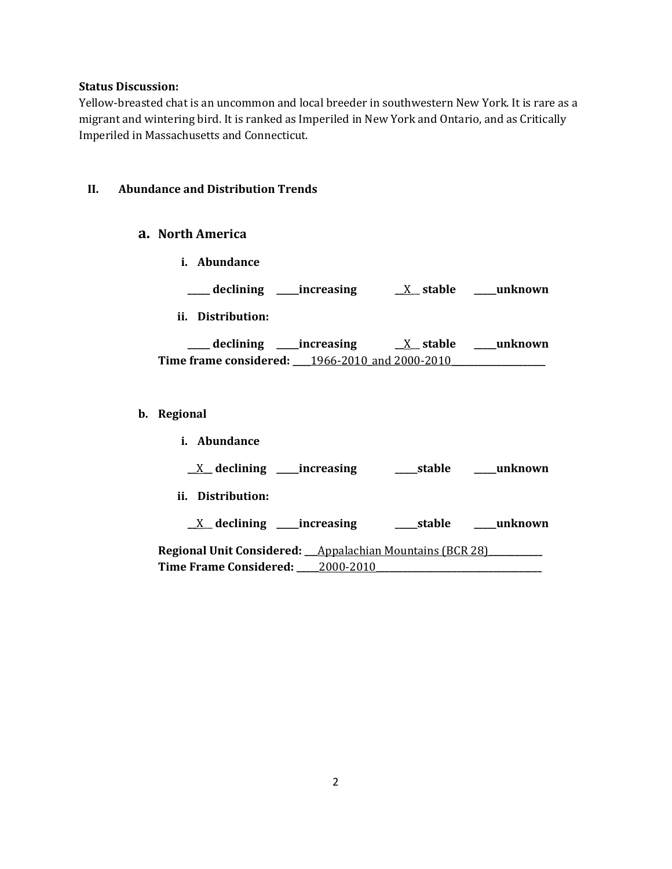#### **Status Discussion:**

Yellow-breasted chat is an uncommon and local breeder in southwestern New York. It is rare as a migrant and wintering bird. It is ranked as Imperiled in New York and Ontario, and as Critically Imperiled in Massachusetts and Connecticut.

#### **II. Abundance and Distribution Trends**

#### **a. North America**

**i. Abundance**

**\_\_\_\_\_ declining \_\_\_\_\_increasing \_\_**X\_\_ **stable \_\_\_\_\_unknown**

**ii. Distribution:**

**\_\_\_\_\_ declining \_\_\_\_\_increasing \_\_**X\_\_ **stable \_\_\_\_\_unknown Time frame considered: \_\_\_\_**1966-2010\_and 2000-2010**\_\_\_\_\_\_\_\_\_\_\_\_\_\_\_\_\_\_\_\_\_**

- **b. Regional** 
	- **i. Abundance \_\_**X**\_\_ declining \_\_\_\_\_increasing \_\_\_\_\_stable \_\_\_\_\_unknown ii. Distribution: \_\_**X\_\_ **declining \_\_\_\_\_increasing \_\_\_\_\_stable \_\_\_\_\_unknown Regional Unit Considered: \_\_\_**Appalachian Mountains (BCR 28)**\_\_\_\_\_\_\_\_\_\_\_\_ Time Frame Considered: \_\_\_\_\_**2000-2010**\_\_\_\_\_\_\_\_\_\_\_\_\_\_\_\_\_\_\_\_\_\_\_\_\_\_\_\_\_\_\_\_\_\_\_\_\_**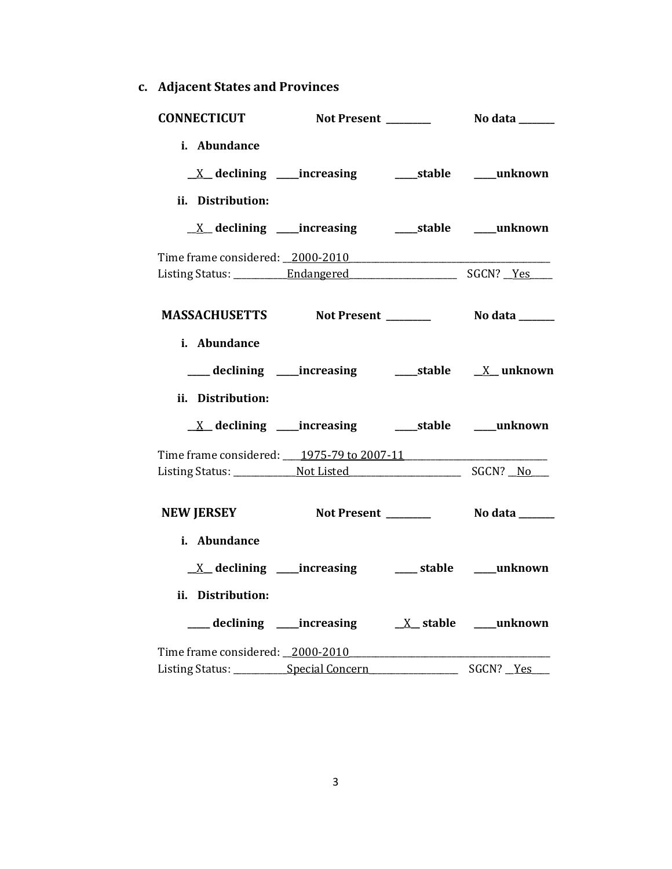**c. Adjacent States and Provinces**

| <b>CONNECTICUT</b>                                                                |                                                                         |                          |           |
|-----------------------------------------------------------------------------------|-------------------------------------------------------------------------|--------------------------|-----------|
| i. Abundance<br>ii. Distribution:                                                 | <u>X</u> declining ____increasing _______stable ____unknown             |                          |           |
|                                                                                   | <u>X</u> declining ____increasing _______stable _____unknown            |                          |           |
|                                                                                   |                                                                         |                          |           |
|                                                                                   |                                                                         |                          |           |
| i. Abundance<br>ii. Distribution:                                                 |                                                                         |                          |           |
|                                                                                   |                                                                         |                          |           |
| Time frame considered: ____ 1975-79 to 2007-11 __________________________________ |                                                                         |                          |           |
| NEW JERSEY Not Present _________ No data ______                                   |                                                                         |                          |           |
| i. Abundance<br>ii. Distribution:                                                 | $\underline{X}$ declining ____increasing ___________stable _____unknown |                          |           |
| Time frame considered: 2000-2010                                                  |                                                                         |                          |           |
| Listing Status: Special Concern                                                   |                                                                         | $\overline{\phantom{0}}$ | SGCN? Yes |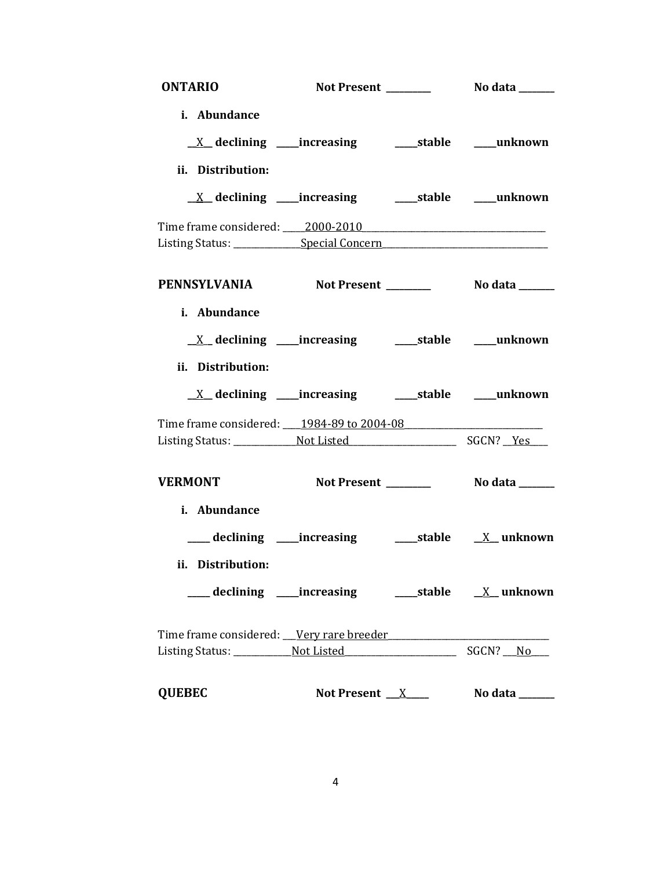| <b>ONTARIO</b>                                                                   |                                                                         |                                 |
|----------------------------------------------------------------------------------|-------------------------------------------------------------------------|---------------------------------|
| i. Abundance                                                                     |                                                                         |                                 |
|                                                                                  | <u>X</u> declining ____increasing _______stable _____unknown            |                                 |
| ii. Distribution:                                                                |                                                                         |                                 |
|                                                                                  | $\underline{X}$ declining ____increasing __________stable ______unknown |                                 |
|                                                                                  |                                                                         |                                 |
| Listing Status: _______________Special Concern _________________________________ |                                                                         |                                 |
| PENNSYLVANIA Not Present ________ No data _____                                  |                                                                         |                                 |
| i. Abundance                                                                     |                                                                         |                                 |
|                                                                                  | <u>X</u> declining ____increasing ______stable ____unknown              |                                 |
| ii. Distribution:                                                                |                                                                         |                                 |
|                                                                                  |                                                                         |                                 |
| Time frame considered: 1984-89 to 2004-08                                        |                                                                         |                                 |
|                                                                                  |                                                                         |                                 |
| <b>VERMONT</b>                                                                   |                                                                         |                                 |
| i. Abundance                                                                     |                                                                         |                                 |
|                                                                                  | ___ declining ____increasing _______stable ___ _____ unknown            |                                 |
| ii. Distribution:                                                                |                                                                         |                                 |
|                                                                                  |                                                                         |                                 |
| Time frame considered: Very rare breeder                                         |                                                                         |                                 |
|                                                                                  |                                                                         |                                 |
| <b>QUEBEC</b>                                                                    | Not Present $\_\ X$                                                     | No data $\_\_\_\_\_\_\_\_\_\_\$ |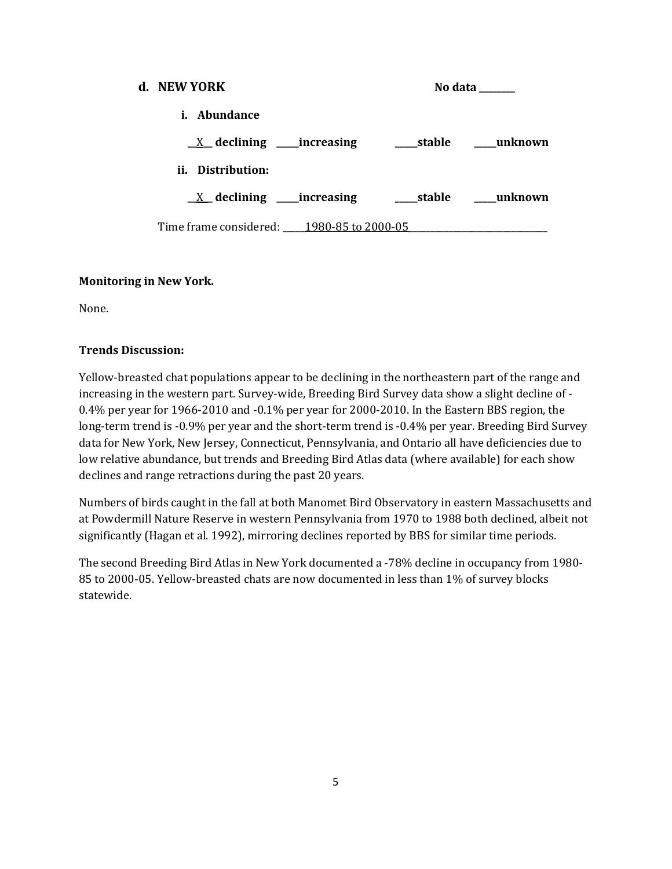# **d. NEW YORK No data \_\_\_\_\_\_ i. Abundance \_\_**X**\_\_ declining \_\_\_\_\_increasing \_\_\_\_\_stable \_\_\_\_\_unknown ii. Distribution: \_\_**X**\_\_ declining \_\_\_\_\_increasing \_\_\_\_\_stable \_\_\_\_\_unknown** Time frame considered: 1980-85 to 2000-05

# **Monitoring in New York.**

None.

# **Trends Discussion:**

Yellow-breasted chat populations appear to be declining in the northeastern part of the range and increasing in the western part. Survey-wide, Breeding Bird Survey data show a slight decline of - 0.4% per year for 1966-2010 and -0.1% per year for 2000-2010. In the Eastern BBS region, the long-term trend is -0.9% per year and the short-term trend is -0.4% per year. Breeding Bird Survey data for New York, New Jersey, Connecticut, Pennsylvania, and Ontario all have deficiencies due to low relative abundance, but trends and Breeding Bird Atlas data (where available) for each show declines and range retractions during the past 20 years.

Numbers of birds caught in the fall at both Manomet Bird Observatory in eastern Massachusetts and at Powdermill Nature Reserve in western Pennsylvania from 1970 to 1988 both declined, albeit not significantly [\(Hagan et al. 1992\)](http://bna.birds.cornell.edu/bna/species/575/articles/species/575/biblio/bib070), mirroring declines reported by BBS for similar time periods.

The second Breeding Bird Atlas in New York documented a -78% decline in occupancy from 1980- 85 to 2000-05. Yellow-breasted chats are now documented in less than 1% of survey blocks statewide.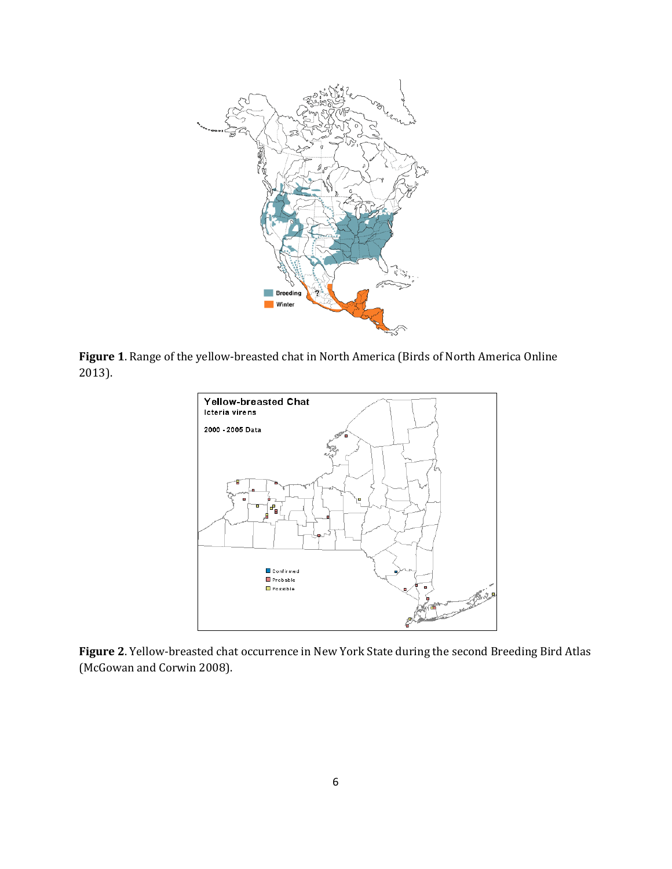

**Figure 1**. Range of the yellow-breasted chat in North America (Birds of North America Online 2013).



**Figure 2**. Yellow-breasted chat occurrence in New York State during the second Breeding Bird Atlas (McGowan and Corwin 2008).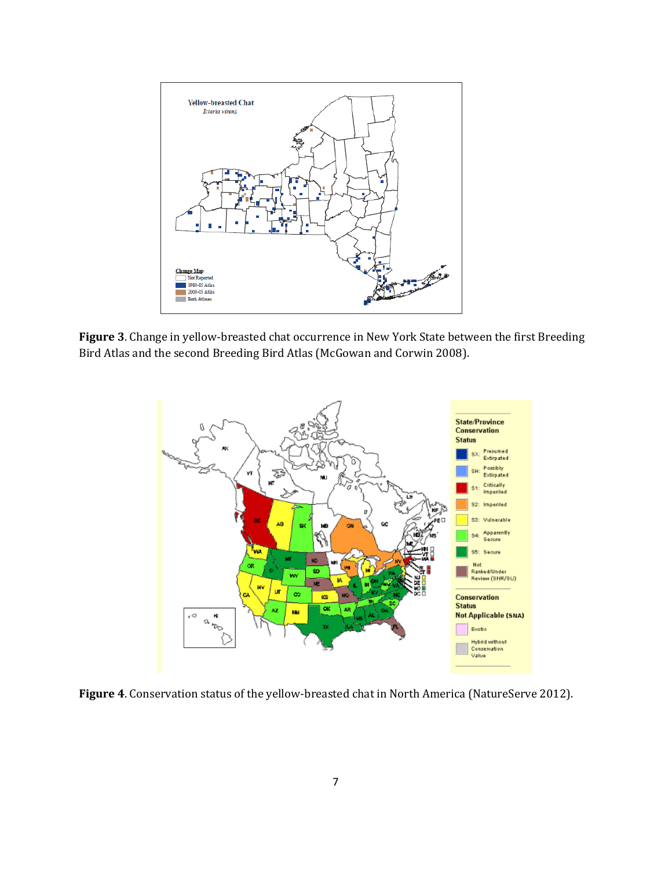

**Figure 3**. Change in yellow-breasted chat occurrence in New York State between the first Breeding Bird Atlas and the second Breeding Bird Atlas (McGowan and Corwin 2008).



**Figure 4**. Conservation status of the yellow-breasted chat in North America (NatureServe 2012).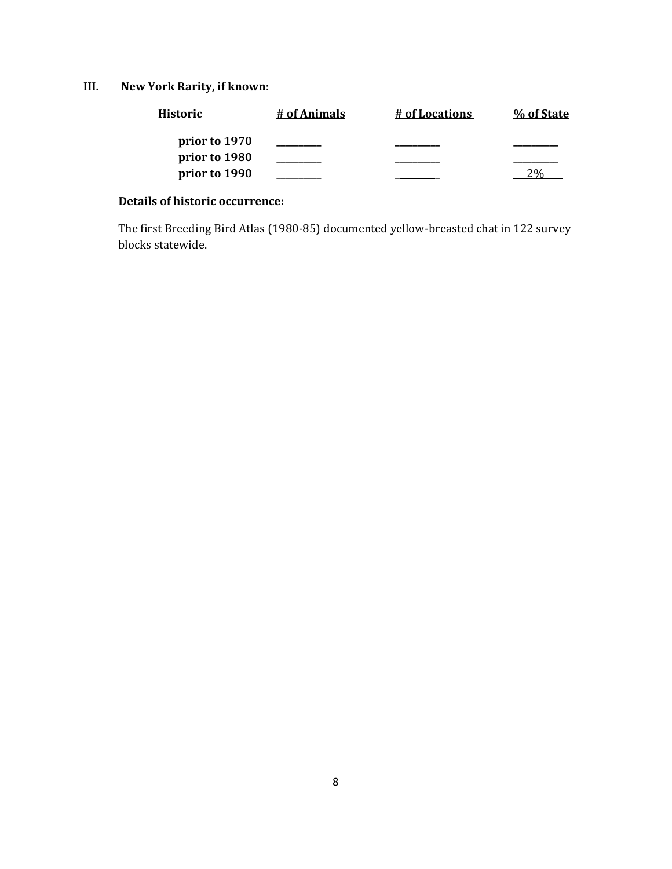**III. New York Rarity, if known:**

| <b>Historic</b> | # of Animals | # of Locations | % of State |
|-----------------|--------------|----------------|------------|
| prior to 1970   |              |                |            |
| prior to 1980   |              |                |            |
| prior to 1990   |              |                |            |

# **Details of historic occurrence:**

The first Breeding Bird Atlas (1980-85) documented yellow-breasted chat in 122 survey blocks statewide.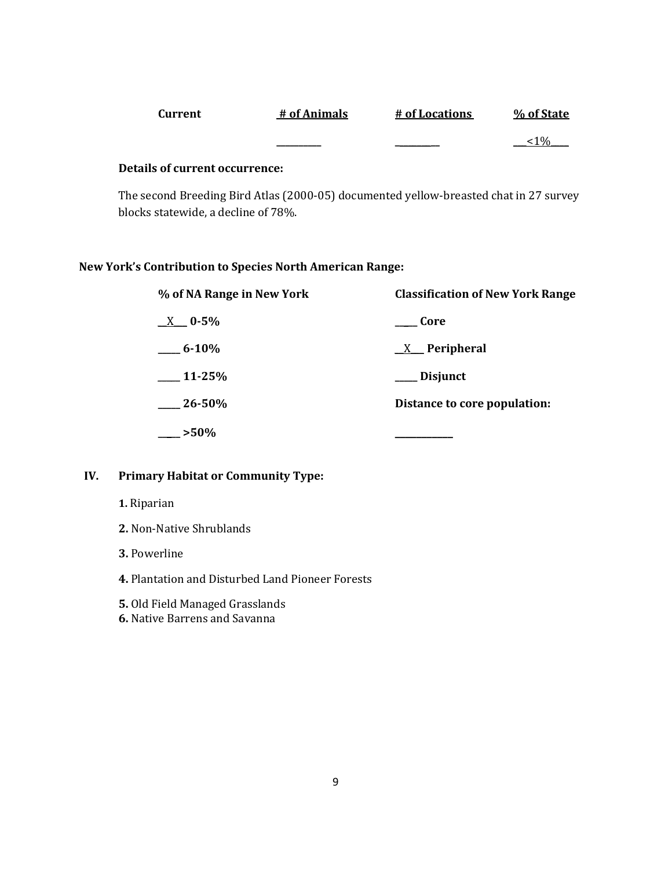| Current | # of Animals | # of Locations | % of State      |
|---------|--------------|----------------|-----------------|
|         |              |                | 10 <sub>6</sub> |

#### **Details of current occurrence:**

The second Breeding Bird Atlas (2000-05) documented yellow-breasted chat in 27 survey blocks statewide, a decline of 78%.

# **New York's Contribution to Species North American Range:**

| % of NA Range in New York | <b>Classification of New York Range</b> |
|---------------------------|-----------------------------------------|
| $X = 0.5\%$               | Core                                    |
| $6 - 10\%$                | $X$ Peripheral                          |
| $\_$ 11-25%               | <b>Disjunct</b>                         |
| $26 - 50\%$               | Distance to core population:            |
| $-$ >50%                  |                                         |

# **IV. Primary Habitat or Community Type:**

- **1.** Riparian
- **2.** Non-Native Shrublands
- **3.** Powerline
- **4.** Plantation and Disturbed Land Pioneer Forests
- **5.** Old Field Managed Grasslands
- **6.** Native Barrens and Savanna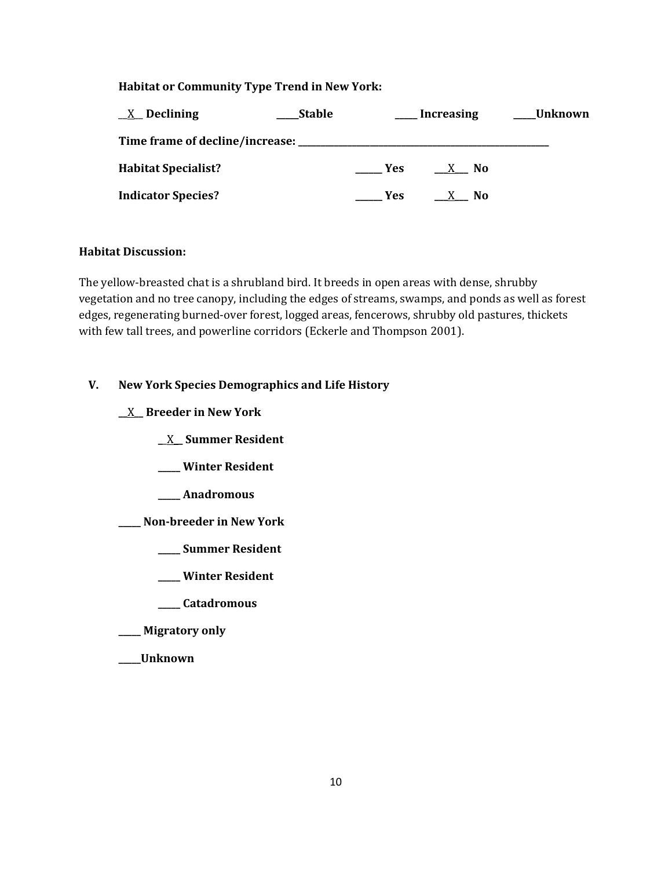### **Habitat or Community Type Trend in New York:**

| $X$ Declining                                     | <b>Stable</b> |            | <b>Increasing</b> | Unknown |
|---------------------------------------------------|---------------|------------|-------------------|---------|
| Time frame of decline/increase: _________________ |               |            |                   |         |
| <b>Habitat Specialist?</b>                        |               | <b>Yes</b> | $X$ No            |         |
| <b>Indicator Species?</b>                         |               | Yes.       | N <sub>0</sub>    |         |

#### **Habitat Discussion:**

The yellow-breasted chat is a shrubland bird. It breeds in open areas with dense, shrubby vegetation and no tree canopy, including the edges of streams, swamps, and ponds as well as forest edges, regenerating burned-over forest, logged areas, fencerows, shrubby old pastures, thickets with few tall trees, and powerline corridors (Eckerle and Thompson 2001).

# **V. New York Species Demographics and Life History**

**\_\_**X**\_\_ Breeder in New York**

- **\_**\_X**\_\_ Summer Resident**
- **\_\_\_\_\_ Winter Resident**
- **\_\_\_\_\_ Anadromous**
- **\_\_\_\_\_ Non-breeder in New York**
	- **\_\_\_\_\_ Summer Resident**
	- **\_\_\_\_\_ Winter Resident**
	- **\_\_\_\_\_ Catadromous**
- **\_\_\_\_\_ Migratory only**
- **\_\_\_\_\_Unknown**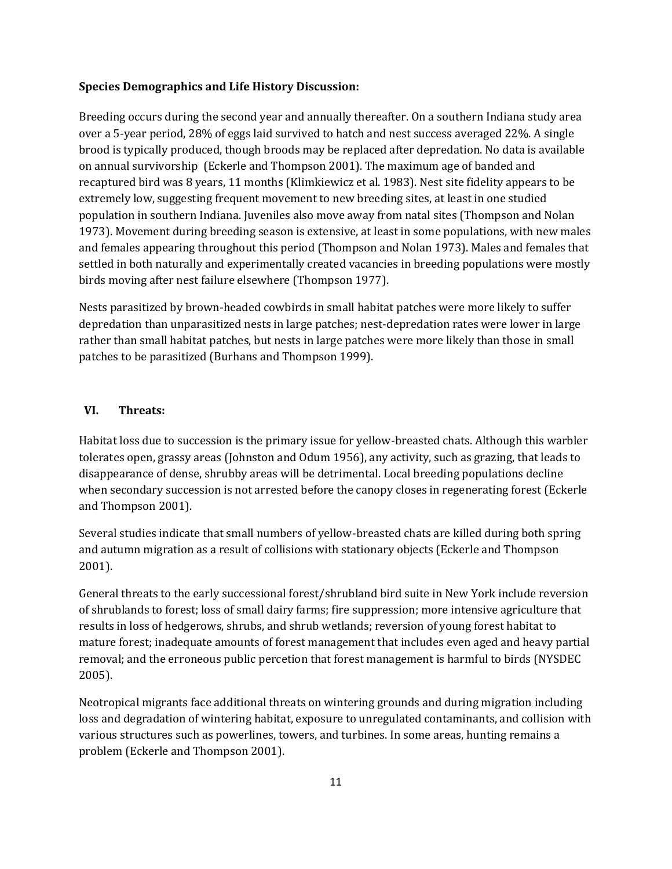#### **Species Demographics and Life History Discussion:**

Breeding occurs during the second year and annually thereafter. On a southern Indiana study area over a 5-year period, 28% of eggs laid survived to hatch and nest success averaged 22%. A single brood is typically produced, though broods may be replaced after depredation. No data is available on annual survivorship (Eckerle and Thompson 2001). The maximum age of banded and recaptured bird was 8 years, 11 months (Klimkiewicz et al. 1983). Nest site fidelity appears to be extremely low, suggesting frequent movement to new breeding sites, at least in one studied population in southern Indiana. Juveniles also move away from natal sites (Thompson and Nolan 1973). Movement during breeding season is extensive, at least in some populations, with new males and females appearing throughout this period (Thompson and Nolan 1973). Males and females that settled in both naturally and experimentally created vacancies in breeding populations were mostly birds moving after nest failure elsewhere (Thompson 1977).

Nests parasitized by brown-headed cowbirds in small habitat patches were more likely to suffer depredation than unparasitized nests in large patches; nest-depredation rates were lower in large rather than small habitat patches, but nests in large patches were more likely than those in small patches to be parasitized (Burhans and Thompson 1999).

# **VI. Threats:**

Habitat loss due to succession is the primary issue for yellow-breasted chats. Although this warbler tolerates open, grassy areas (Johnston and Odum 1956), any activity, such as grazing, that leads to disappearance of dense, shrubby areas will be detrimental. Local breeding populations decline when secondary succession is not arrested before the canopy closes in regenerating forest (Eckerle and Thompson 2001).

Several studies indicate that small numbers of yellow-breasted chats are killed during both spring and autumn migration as a result of collisions with stationary objects (Eckerle and Thompson 2001).

General threats to the early successional forest/shrubland bird suite in New York include reversion of shrublands to forest; loss of small dairy farms; fire suppression; more intensive agriculture that results in loss of hedgerows, shrubs, and shrub wetlands; reversion of young forest habitat to mature forest; inadequate amounts of forest management that includes even aged and heavy partial removal; and the erroneous public percetion that forest management is harmful to birds (NYSDEC 2005).

Neotropical migrants face additional threats on wintering grounds and during migration including loss and degradation of wintering habitat, exposure to unregulated contaminants, and collision with various structures such as powerlines, towers, and turbines. In some areas, hunting remains a problem (Eckerle and Thompson 2001).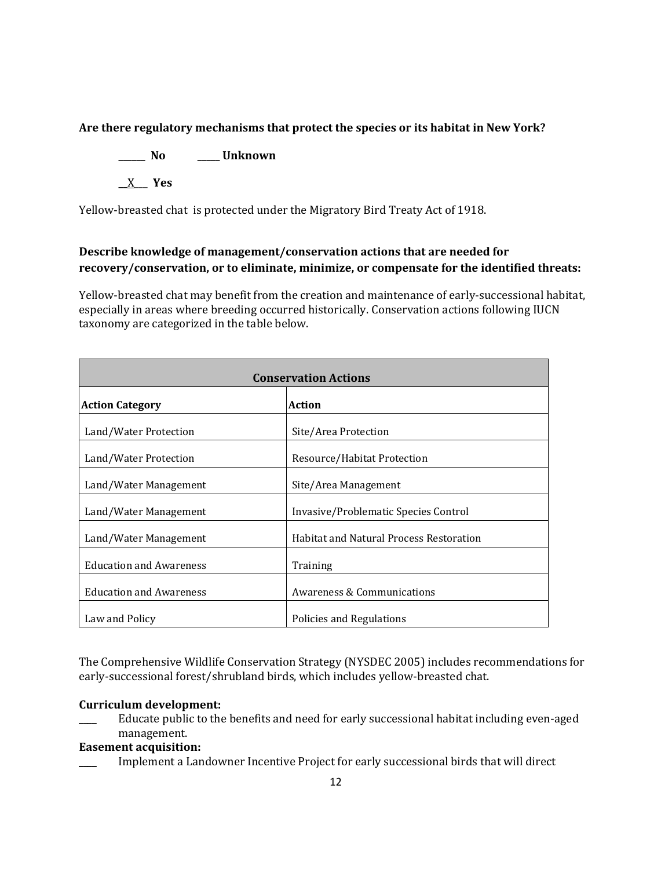# **Are there regulatory mechanisms that protect the species or its habitat in New York?**

**\_\_\_\_\_\_ No \_\_\_\_\_ Unknown**

**\_\_**X\_\_\_ **Yes** 

Yellow-breasted chat is protected under the Migratory Bird Treaty Act of 1918.

# **Describe knowledge of management/conservation actions that are needed for recovery/conservation, or to eliminate, minimize, or compensate for the identified threats:**

Yellow-breasted chat may benefit from the creation and maintenance of early-successional habitat, especially in areas where breeding occurred historically. Conservation actions following IUCN taxonomy are categorized in the table below.

| <b>Conservation Actions</b>    |                                                |  |  |
|--------------------------------|------------------------------------------------|--|--|
| <b>Action Category</b>         | Action                                         |  |  |
| Land/Water Protection          | Site/Area Protection                           |  |  |
| Land/Water Protection          | Resource/Habitat Protection                    |  |  |
| Land/Water Management          | Site/Area Management                           |  |  |
| Land/Water Management          | Invasive/Problematic Species Control           |  |  |
| Land/Water Management          | <b>Habitat and Natural Process Restoration</b> |  |  |
| <b>Education and Awareness</b> | Training                                       |  |  |
| <b>Education and Awareness</b> | Awareness & Communications                     |  |  |
| Law and Policy                 | Policies and Regulations                       |  |  |

The Comprehensive Wildlife Conservation Strategy (NYSDEC 2005) includes recommendations for early-successional forest/shrubland birds, which includes yellow-breasted chat.

#### **Curriculum development:**

Educate public to the benefits and need for early successional habitat including even-aged management.

#### **Easement acquisition:**

\_\_\_\_ Implement a Landowner Incentive Project for early successional birds that will direct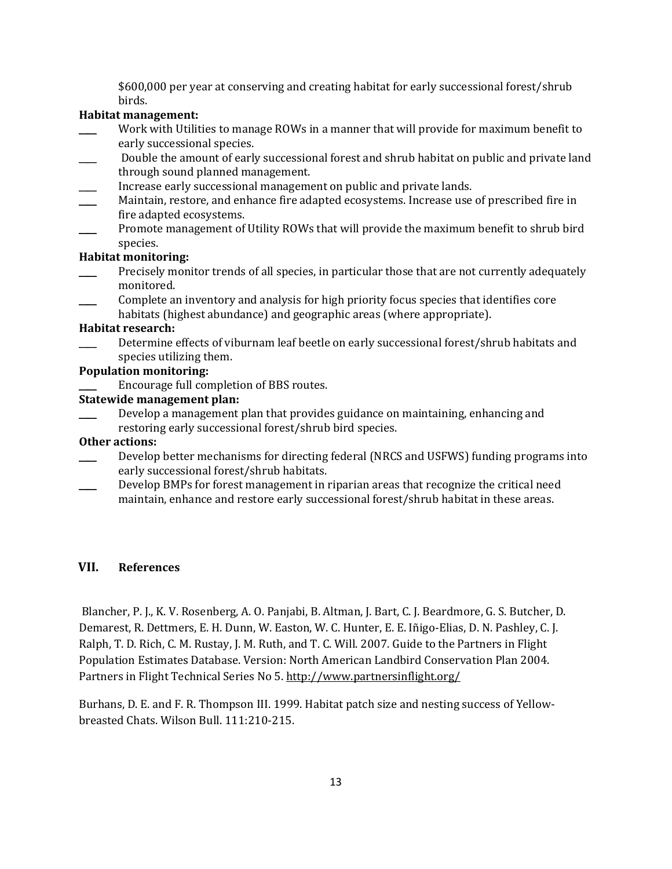\$600,000 per year at conserving and creating habitat for early successional forest/shrub birds.

### **Habitat management:**

- Work with Utilities to manage ROWs in a manner that will provide for maximum benefit to early successional species.
- Double the amount of early successional forest and shrub habitat on public and private land through sound planned management.
- Increase early successional management on public and private lands.
- Maintain, restore, and enhance fire adapted ecosystems. Increase use of prescribed fire in fire adapted ecosystems.
- Promote management of Utility ROWs that will provide the maximum benefit to shrub bird species.

#### **Habitat monitoring:**

- Precisely monitor trends of all species, in particular those that are not currently adequately monitored.
- \_\_\_\_ Complete an inventory and analysis for high priority focus species that identifies core habitats (highest abundance) and geographic areas (where appropriate).

#### **Habitat research:**

\_\_\_\_ Determine effects of viburnam leaf beetle on early successional forest/shrub habitats and species utilizing them.

#### **Population monitoring:**

Encourage full completion of BBS routes.

# **Statewide management plan:**

Develop a management plan that provides guidance on maintaining, enhancing and restoring early successional forest/shrub bird species.

#### **Other actions:**

- Develop better mechanisms for directing federal (NRCS and USFWS) funding programs into early successional forest/shrub habitats.
- \_\_\_\_ Develop BMPs for forest management in riparian areas that recognize the critical need maintain, enhance and restore early successional forest/shrub habitat in these areas.

# **VII. References**

Blancher, P. J., K. V. Rosenberg, A. O. Panjabi, B. Altman, J. Bart, C. J. Beardmore, G. S. Butcher, D. Demarest, R. Dettmers, E. H. Dunn, W. Easton, W. C. Hunter, E. E. Iñigo-Elias, D. N. Pashley, C. J. Ralph, T. D. Rich, C. M. Rustay, J. M. Ruth, and T. C. Will. 2007. Guide to the Partners in Flight Population Estimates Database. Version: North American Landbird Conservation Plan 2004. Partners in Flight Technical Series No 5. http://www.partnersinflight.org/

Burhans, D. E. and F. R. Thompson III. 1999. Habitat patch size and nesting success of Yellowbreasted Chats. Wilson Bull. 111:210-215.